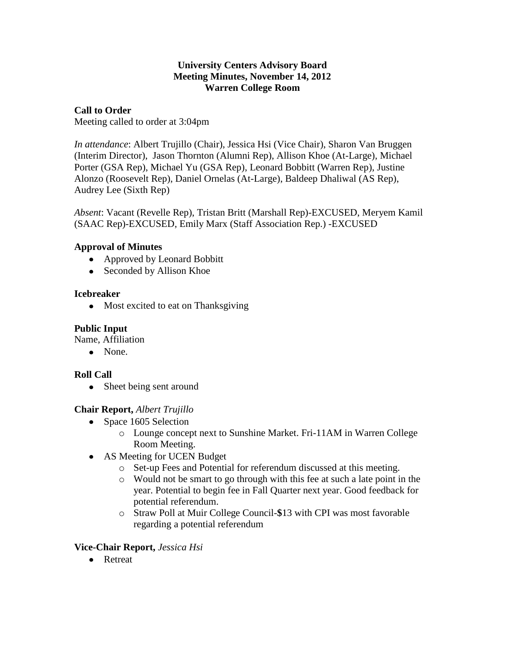#### **University Centers Advisory Board Meeting Minutes, November 14, 2012 Warren College Room**

#### **Call to Order**

Meeting called to order at 3:04pm

*In attendance*: Albert Trujillo (Chair), Jessica Hsi (Vice Chair), Sharon Van Bruggen (Interim Director), Jason Thornton (Alumni Rep), Allison Khoe (At-Large), Michael Porter (GSA Rep), Michael Yu (GSA Rep), Leonard Bobbitt (Warren Rep), Justine Alonzo (Roosevelt Rep), Daniel Ornelas (At-Large), Baldeep Dhaliwal (AS Rep), Audrey Lee (Sixth Rep)

*Absent*: Vacant (Revelle Rep), Tristan Britt (Marshall Rep)-EXCUSED, Meryem Kamil (SAAC Rep)-EXCUSED, Emily Marx (Staff Association Rep.) -EXCUSED

### **Approval of Minutes**

- Approved by Leonard Bobbitt
- Seconded by Allison Khoe

### **Icebreaker**

• Most excited to eat on Thanksgiving

# **Public Input**

Name, Affiliation

• None.

# **Roll Call**

• Sheet being sent around

# **Chair Report,** *Albert Trujillo*

- Space 1605 Selection
	- o Lounge concept next to Sunshine Market. Fri-11AM in Warren College Room Meeting.
- AS Meeting for UCEN Budget
	- o Set-up Fees and Potential for referendum discussed at this meeting.
	- o Would not be smart to go through with this fee at such a late point in the year. Potential to begin fee in Fall Quarter next year. Good feedback for potential referendum.
	- o Straw Poll at Muir College Council-**\$**13 with CPI was most favorable regarding a potential referendum

# **Vice-Chair Report,** *Jessica Hsi*

• Retreat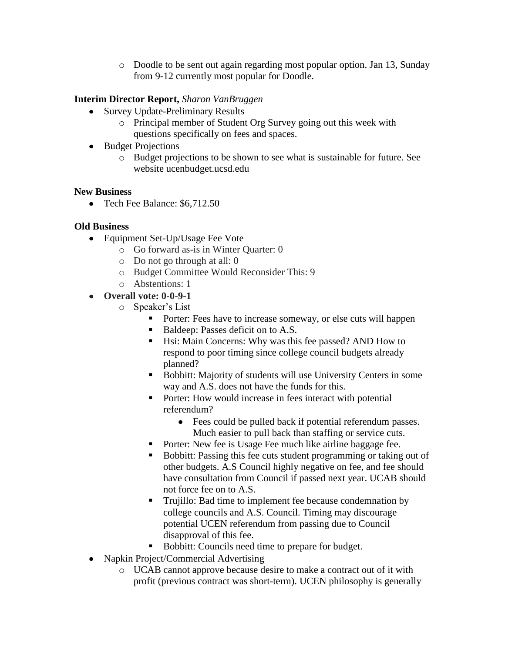o Doodle to be sent out again regarding most popular option. Jan 13, Sunday from 9-12 currently most popular for Doodle.

# **Interim Director Report,** *Sharon VanBruggen*

- Survey Update-Preliminary Results
	- o Principal member of Student Org Survey going out this week with questions specifically on fees and spaces.
- Budget Projections
	- o Budget projections to be shown to see what is sustainable for future. See website ucenbudget.ucsd.edu

### **New Business**

• Tech Fee Balance: \$6,712.50

### **Old Business**

- Equipment Set-Up/Usage Fee Vote
	- o Go forward as-is in Winter Quarter: 0
	- o Do not go through at all: 0
	- o Budget Committee Would Reconsider This: 9
	- o Abstentions: 1
- **Overall vote: 0-0-9-1**
	- o Speaker's List
		- Porter: Fees have to increase someway, or else cuts will happen
		- Baldeep: Passes deficit on to A.S.
		- Hsi: Main Concerns: Why was this fee passed? AND How to respond to poor timing since college council budgets already planned?
		- Bobbitt: Majority of students will use University Centers in some way and A.S. does not have the funds for this.
		- Porter: How would increase in fees interact with potential referendum?
			- Fees could be pulled back if potential referendum passes. Much easier to pull back than staffing or service cuts.
		- Porter: New fee is Usage Fee much like airline baggage fee.
		- Bobbitt: Passing this fee cuts student programming or taking out of other budgets. A.S Council highly negative on fee, and fee should have consultation from Council if passed next year. UCAB should not force fee on to A.S.
		- Trujillo: Bad time to implement fee because condemnation by college councils and A.S. Council. Timing may discourage potential UCEN referendum from passing due to Council disapproval of this fee.
		- Bobbitt: Councils need time to prepare for budget.
- Napkin Project/Commercial Advertising
	- o UCAB cannot approve because desire to make a contract out of it with profit (previous contract was short-term). UCEN philosophy is generally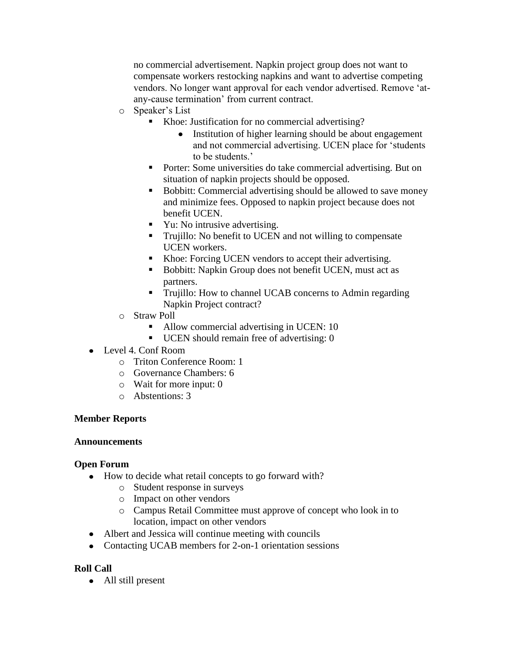no commercial advertisement. Napkin project group does not want to compensate workers restocking napkins and want to advertise competing vendors. No longer want approval for each vendor advertised. Remove 'atany-cause termination' from current contract.

- o Speaker's List
	- Khoe: Justification for no commercial advertising?
		- Institution of higher learning should be about engagement and not commercial advertising. UCEN place for 'students to be students.'
	- Porter: Some universities do take commercial advertising. But on situation of napkin projects should be opposed.
	- Bobbitt: Commercial advertising should be allowed to save money and minimize fees. Opposed to napkin project because does not benefit UCEN.
	- Yu: No intrusive advertising.
	- **Trujillo:** No benefit to UCEN and not willing to compensate UCEN workers.
	- Khoe: Forcing UCEN vendors to accept their advertising.
	- Bobbitt: Napkin Group does not benefit UCEN, must act as partners.
	- **Trujillo:** How to channel UCAB concerns to Admin regarding Napkin Project contract?
- o Straw Poll
	- Allow commercial advertising in UCEN: 10
	- UCEN should remain free of advertising: 0
- Level 4. Conf Room
	- o Triton Conference Room: 1
	- o Governance Chambers: 6
	- o Wait for more input: 0
	- o Abstentions: 3

#### **Member Reports**

#### **Announcements**

#### **Open Forum**

- How to decide what retail concepts to go forward with?
	- o Student response in surveys
	- o Impact on other vendors
	- o Campus Retail Committee must approve of concept who look in to location, impact on other vendors
- Albert and Jessica will continue meeting with councils
- Contacting UCAB members for 2-on-1 orientation sessions

# **Roll Call**

• All still present